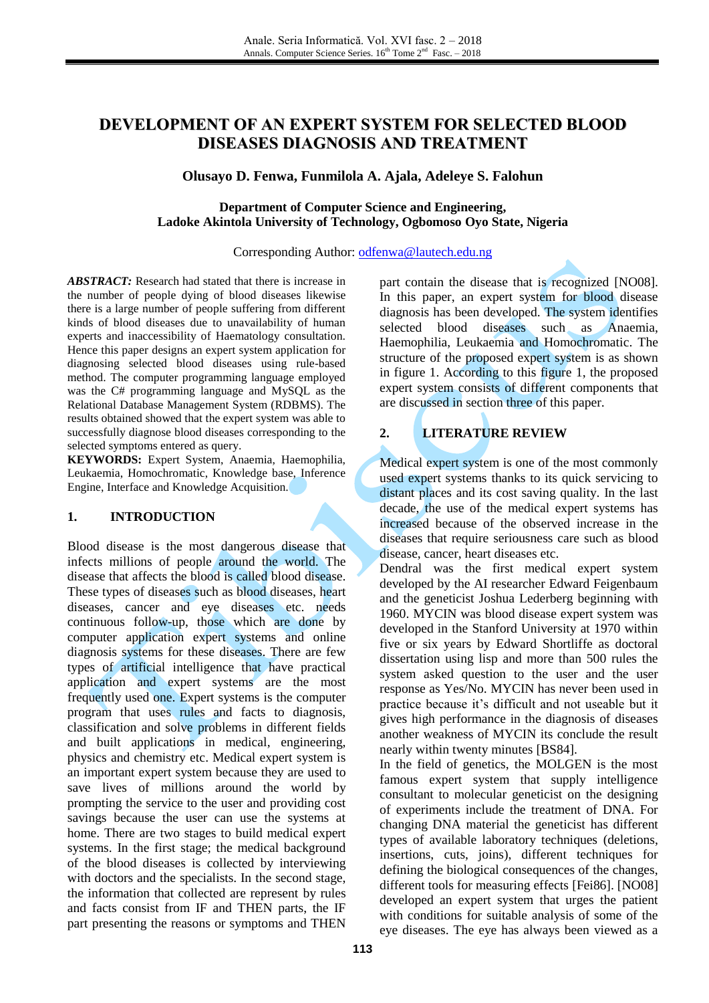# **DEVELOPMENT OF AN EXPERT SYSTEM FOR SELECTED BLOOD DISEASES DIAGNOSIS AND TREATMENT**

## **Olusayo D. Fenwa, Funmilola A. Ajala, Adeleye S. Falohun**

### **Department of Computer Science and Engineering, Ladoke Akintola University of Technology, Ogbomoso Oyo State, Nigeria**

#### Corresponding Author: [odfenwa@lautech.edu.ng](mailto:odfenwa@lautech.edu.ng)

*ABSTRACT:* Research had stated that there is increase in the number of people dying of blood diseases likewise there is a large number of people suffering from different kinds of blood diseases due to unavailability of human experts and inaccessibility of Haematology consultation. Hence this paper designs an expert system application for diagnosing selected blood diseases using rule-based method. The computer programming language employed was the C# programming language and MySQL as the Relational Database Management System (RDBMS). The results obtained showed that the expert system was able to successfully diagnose blood diseases corresponding to the selected symptoms entered as query.

**KEYWORDS:** Expert System, Anaemia, Haemophilia, Leukaemia, Homochromatic, Knowledge base, Inference Engine, Interface and Knowledge Acquisition.

## **1. INTRODUCTION**

Blood disease is the most dangerous disease that infects millions of people around the world. The disease that affects the blood is called blood disease. These types of diseases such as blood diseases, heart diseases, cancer and eye diseases etc. needs continuous follow-up, those which are done by computer application expert systems and online diagnosis systems for these diseases. There are few types of artificial intelligence that have practical application and expert systems are the most frequently used one. Expert systems is the computer program that uses rules and facts to diagnosis, classification and solve problems in different fields and built applications in medical, engineering, physics and chemistry etc. Medical expert system is an important expert system because they are used to save lives of millions around the world by prompting the service to the user and providing cost savings because the user can use the systems at home. There are two stages to build medical expert systems. In the first stage; the medical background of the blood diseases is collected by interviewing with doctors and the specialists. In the second stage, the information that collected are represent by rules and facts consist from IF and THEN parts, the IF part presenting the reasons or symptoms and THEN

part contain the disease that is recognized [NO08]. In this paper, an expert system for blood disease diagnosis has been developed. The system identifies selected blood diseases such as Anaemia, Haemophilia, Leukaemia and Homochromatic. The structure of the proposed expert system is as shown in figure 1. According to this figure 1, the proposed expert system consists of different components that are discussed in section three of this paper.

## **2. LITERATURE REVIEW**

Medical expert system is one of the most commonly used expert systems thanks to its quick servicing to distant places and its cost saving quality. In the last decade, the use of the medical expert systems has increased because of the observed increase in the diseases that require seriousness care such as blood disease, cancer, heart diseases etc.

Dendral was the first medical expert system developed by the AI researcher Edward Feigenbaum and the geneticist Joshua Lederberg beginning with 1960. MYCIN was blood disease expert system was developed in the Stanford University at 1970 within five or six years by Edward Shortliffe as doctoral dissertation using lisp and more than 500 rules the system asked question to the user and the user response as Yes/No. MYCIN has never been used in practice because it's difficult and not useable but it gives high performance in the diagnosis of diseases another weakness of MYCIN its conclude the result nearly within twenty minutes [BS84].

In the field of genetics, the MOLGEN is the most famous expert system that supply intelligence consultant to molecular geneticist on the designing of experiments include the treatment of DNA. For changing DNA material the geneticist has different types of available laboratory techniques (deletions, insertions, cuts, joins), different techniques for defining the biological consequences of the changes, different tools for measuring effects [Fei86]. [NO08] developed an expert system that urges the patient with conditions for suitable analysis of some of the eye diseases. The eye has always been viewed as a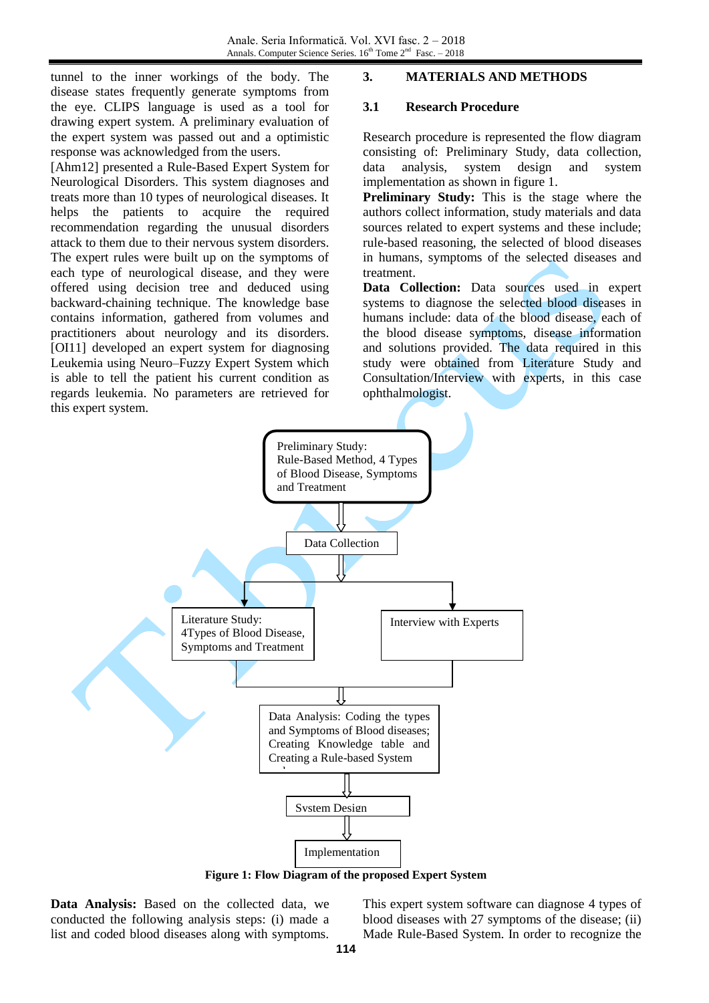tunnel to the inner workings of the body. The disease states frequently generate symptoms from the eye. CLIPS language is used as a tool for drawing expert system. A preliminary evaluation of the expert system was passed out and a optimistic response was acknowledged from the users.

[Ahm12] presented a Rule-Based Expert System for Neurological Disorders. This system diagnoses and treats more than 10 types of neurological diseases. It helps the patients to acquire the required recommendation regarding the unusual disorders attack to them due to their nervous system disorders. The expert rules were built up on the symptoms of each type of neurological disease, and they were offered using decision tree and deduced using backward-chaining technique. The knowledge base contains information, gathered from volumes and practitioners about neurology and its disorders. [OI11] developed an expert system for diagnosing Leukemia using Neuro–Fuzzy Expert System which is able to tell the patient his current condition as regards leukemia. No parameters are retrieved for this expert system.

## **3. MATERIALS AND METHODS**

### **3.1 Research Procedure**

Research procedure is represented the flow diagram consisting of: Preliminary Study, data collection, data analysis, system design and system implementation as shown in figure 1.

**Preliminary Study:** This is the stage where the authors collect information, study materials and data sources related to expert systems and these include; rule-based reasoning, the selected of blood diseases in humans, symptoms of the selected diseases and treatment.

**Data Collection:** Data sources used in expert systems to diagnose the selected blood diseases in humans include: data of the blood disease, each of the blood disease symptoms, disease information and solutions provided. The data required in this study were obtained from Literature Study and Consultation/Interview with experts, in this case ophthalmologist.



**Figure 1: Flow Diagram of the proposed Expert System**

**Data Analysis:** Based on the collected data, we conducted the following analysis steps: (i) made a list and coded blood diseases along with symptoms.

This expert system software can diagnose 4 types of blood diseases with 27 symptoms of the disease; (ii) Made Rule-Based System. In order to recognize the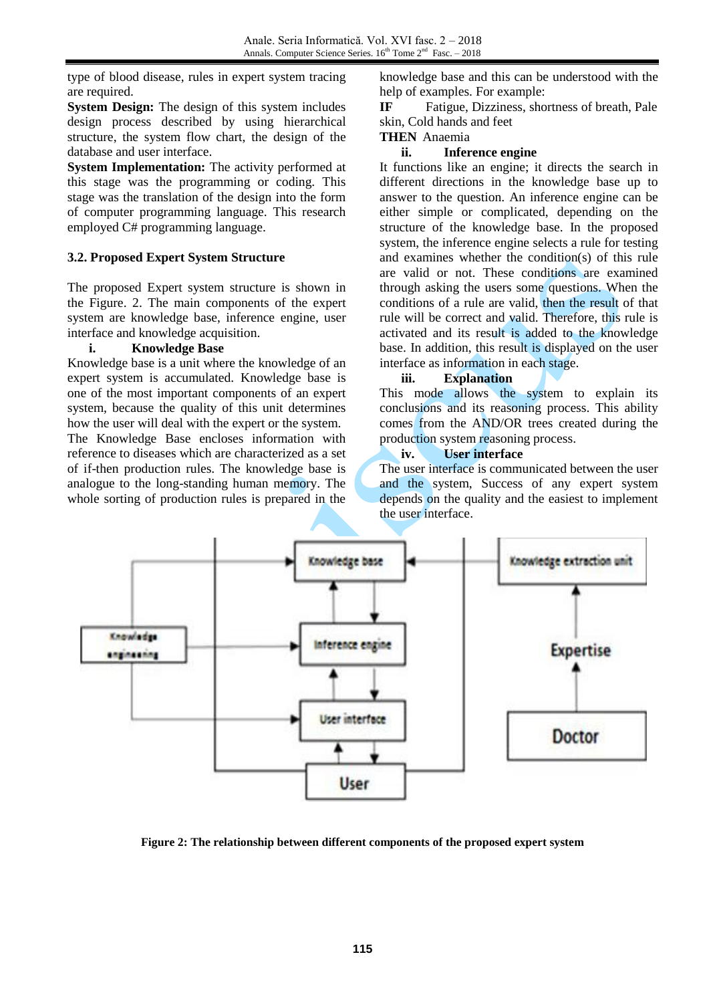type of blood disease, rules in expert system tracing are required.

**System Design:** The design of this system includes design process described by using hierarchical structure, the system flow chart, the design of the database and user interface.

**System Implementation:** The activity performed at this stage was the programming or coding. This stage was the translation of the design into the form of computer programming language. This research employed C# programming language.

## **3.2. Proposed Expert System Structure**

The proposed Expert system structure is shown in the Figure. 2. The main components of the expert system are knowledge base, inference engine, user interface and knowledge acquisition.

#### **i. Knowledge Base**

Knowledge base is a unit where the knowledge of an expert system is accumulated. Knowledge base is one of the most important components of an expert system, because the quality of this unit determines how the user will deal with the expert or the system. The Knowledge Base encloses information with reference to diseases which are characterized as a set of if-then production rules. The knowledge base is analogue to the long-standing human memory. The whole sorting of production rules is prepared in the

knowledge base and this can be understood with the help of examples. For example:

**IF** Fatigue, Dizziness, shortness of breath, Pale skin, Cold hands and feet

### **THEN** Anaemia

### **ii. Inference engine**

It functions like an engine; it directs the search in different directions in the knowledge base up to answer to the question. An inference engine can be either simple or complicated, depending on the structure of the knowledge base. In the proposed system, the inference engine selects a rule for testing and examines whether the condition(s) of this rule are valid or not. These conditions are examined through asking the users some questions. When the conditions of a rule are valid, then the result of that rule will be correct and valid. Therefore, this rule is activated and its result is added to the knowledge base. In addition, this result is displayed on the user interface as information in each stage.

### **iii. Explanation**

This mode allows the system to explain its conclusions and its reasoning process. This ability comes from the AND/OR trees created during the production system reasoning process.

### **iv. User interface**

The user interface is communicated between the user and the system, Success of any expert system depends on the quality and the easiest to implement the user interface.



**Figure 2: The relationship between different components of the proposed expert system**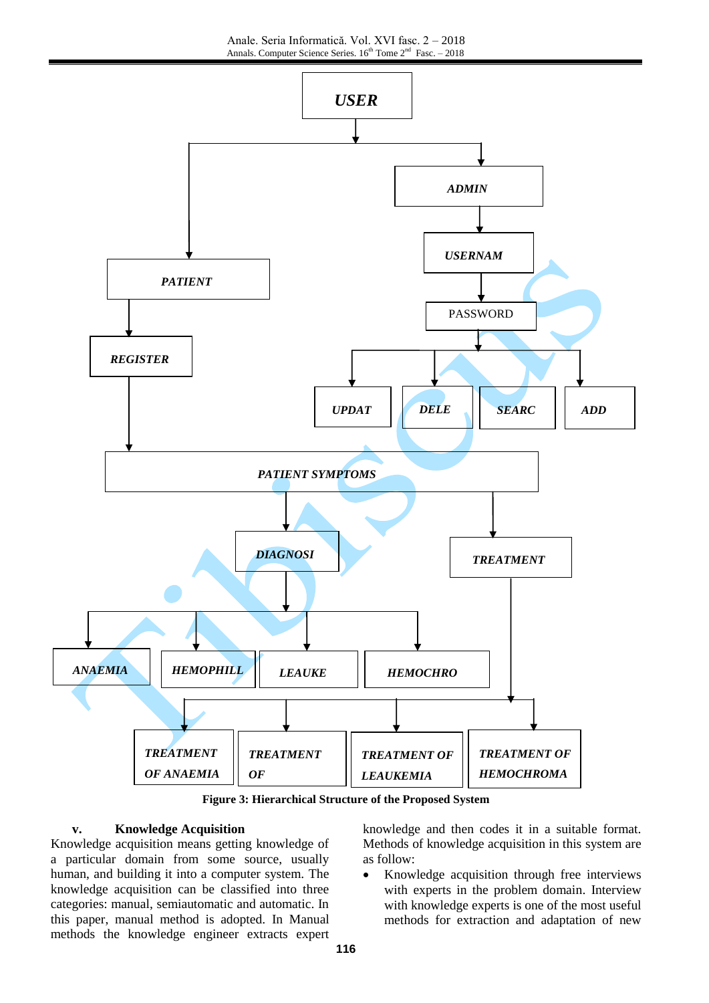

**Figure 3: Hierarchical Structure of the Proposed System** 

#### **v. Knowledge Acquisition**

Knowledge acquisition means getting knowledge of a particular domain from some source, usually human, and building it into a computer system. The knowledge acquisition can be classified into three categories: manual, semiautomatic and automatic. In this paper, manual method is adopted. In Manual methods the knowledge engineer extracts expert knowledge and then codes it in a suitable format. Methods of knowledge acquisition in this system are as follow:

 Knowledge acquisition through free interviews with experts in the problem domain. Interview with knowledge experts is one of the most useful methods for extraction and adaptation of new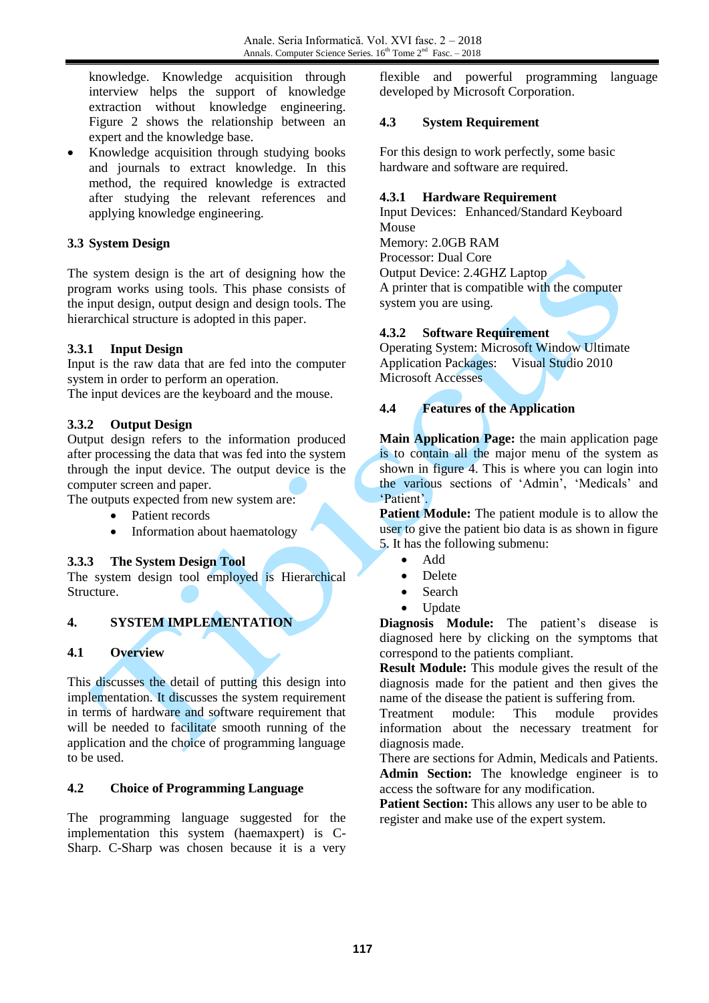knowledge. Knowledge acquisition through interview helps the support of knowledge extraction without knowledge engineering. Figure 2 shows the relationship between an expert and the knowledge base.

 Knowledge acquisition through studying books and journals to extract knowledge. In this method, the required knowledge is extracted after studying the relevant references and applying knowledge engineering.

## **3.3 System Design**

The system design is the art of designing how the program works using tools. This phase consists of the input design, output design and design tools. The hierarchical structure is adopted in this paper.

## **3.3.1 Input Design**

Input is the raw data that are fed into the computer system in order to perform an operation.

The input devices are the keyboard and the mouse.

## **3.3.2 Output Design**

Output design refers to the information produced after processing the data that was fed into the system through the input device. The output device is the computer screen and paper.

The outputs expected from new system are:

- Patient records
- Information about haematology

## **3.3.3 The System Design Tool**

The system design tool employed is Hierarchical Structure.

## **4. SYSTEM IMPLEMENTATION**

## **4.1 Overview**

This discusses the detail of putting this design into implementation. It discusses the system requirement in terms of hardware and software requirement that will be needed to facilitate smooth running of the application and the choice of programming language to be used.

## **4.2 Choice of Programming Language**

The programming language suggested for the implementation this system (haemaxpert) is C-Sharp. C-Sharp was chosen because it is a very flexible and powerful programming language developed by Microsoft Corporation.

### **4.3 System Requirement**

For this design to work perfectly, some basic hardware and software are required.

### **4.3.1 Hardware Requirement**

Input Devices: Enhanced/Standard Keyboard Mouse

Memory: 2.0GB RAM Processor: Dual Core Output Device: 2.4GHZ Laptop A printer that is compatible with the computer system you are using.

## **4.3.2 Software Requirement**

Operating System: Microsoft Window Ultimate Application Packages: Visual Studio 2010 Microsoft Accesses

## **4.4 Features of the Application**

**Main Application Page:** the main application page is to contain all the major menu of the system as shown in figure 4. This is where you can login into the various sections of 'Admin', 'Medicals' and 'Patient'.

**Patient Module:** The patient module is to allow the user to give the patient bio data is as shown in figure 5. It has the following submenu:

- Add
- Delete
- Search
- **U**ndate

**Diagnosis Module:** The patient's disease is diagnosed here by clicking on the symptoms that correspond to the patients compliant.

**Result Module:** This module gives the result of the diagnosis made for the patient and then gives the name of the disease the patient is suffering from.

Treatment module: This module provides information about the necessary treatment for diagnosis made.

There are sections for Admin, Medicals and Patients. **Admin Section:** The knowledge engineer is to access the software for any modification.

**Patient Section:** This allows any user to be able to register and make use of the expert system.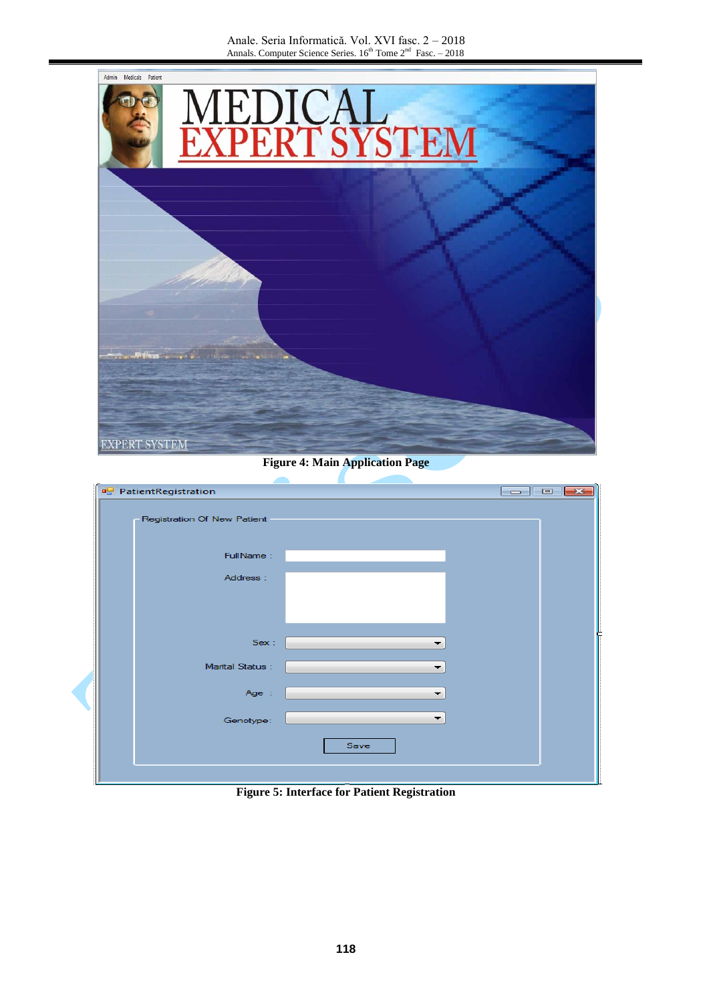Anale. Seria Informatică. Vol. XVI fasc. 2 – 2018 Annals. Computer Science Series. 16<sup>th</sup> Tome 2<sup>nd</sup> Fasc. - 2018



**Figure 4: Main Application Page**

| <b>PatientRegistration</b>  |      | $\overline{\phantom{a}}$ $\overline{\phantom{a}}$ $\overline{\phantom{a}}$ $\overline{\phantom{a}}$ $\overline{\phantom{a}}$ |
|-----------------------------|------|------------------------------------------------------------------------------------------------------------------------------|
| Registration Of New Patient |      |                                                                                                                              |
| FullName:                   |      |                                                                                                                              |
| Address:                    |      |                                                                                                                              |
|                             |      |                                                                                                                              |
|                             |      |                                                                                                                              |
| Sex:                        |      |                                                                                                                              |
| Marital Status :            |      |                                                                                                                              |
| Age :                       |      |                                                                                                                              |
| Genotype:                   | ▼    |                                                                                                                              |
|                             | Save |                                                                                                                              |
|                             |      |                                                                                                                              |

**Figure 5: Interface for Patient Registration**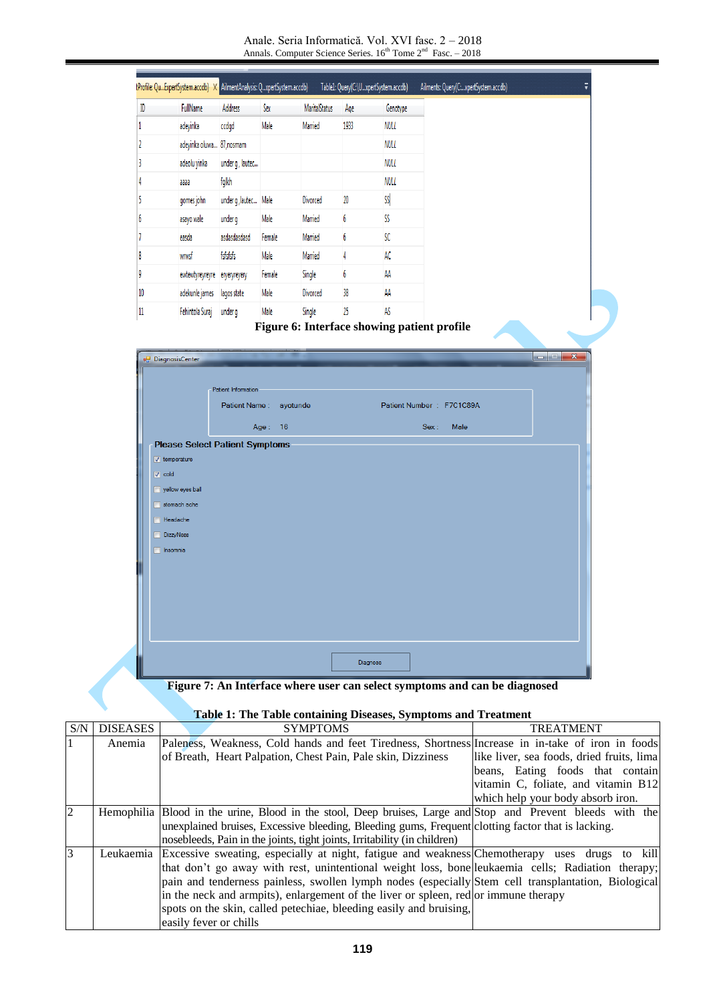Anale. Seria Informatică. Vol. XVI fasc. 2 – 2018 Annals. Computer Science Series. 16<sup>th</sup> Tome 2<sup>nd</sup> Fasc. - 2018

| ID | FullName                                 | <b>Address</b>       | Sex        | <b>MaritalStatus</b> | Age  | Genotype    |                          |
|----|------------------------------------------|----------------------|------------|----------------------|------|-------------|--------------------------|
|    | adeyinka                                 | ccdgd                | Male       | Married              | 1933 | <b>NULL</b> |                          |
|    | adeyinka oluwa 87, nosmam                |                      |            |                      |      | <b>NULL</b> |                          |
|    | adeolu yinka                             | under g, lautec      |            |                      |      | NULL        |                          |
|    | 8666                                     | fglkh                |            |                      |      | <b>NULL</b> |                          |
|    | gomes john                               | under g, lautec Male |            | <b>Divorced</b>      | 20   | SS          |                          |
|    | asayo wale                               | under g              | Male       | Married              | 6    | SS          |                          |
|    | easda                                    | asdasdasdasd         | Female     | Married              | 6    | SC          |                          |
|    | wrwsf                                    | fsfsfsfs             | Male       | Married              | 4    | AC          |                          |
|    | ewtewtyreyreyre                          | eryeryreyery         | Female     | Single               | 6    | AA          |                          |
| 10 | adekunle james                           | lagos state          | Male       | Divorced             | 38   | AA          |                          |
|    | Fehintola Suraj                          | under g              | Male       | Single               | 25   | AS          |                          |
|    | DiagnosisCenter                          | Patient Information  |            |                      |      |             |                          |
|    |                                          | Patient Name:        |            | ayotunde             |      |             | Patient Number: F7C1C89A |
|    |                                          |                      | 16<br>Age: |                      |      |             | <b>Male</b><br>Sex:      |
|    | <b>Please Select Patient Symptoms</b>    |                      |            |                      |      |             |                          |
|    | $\sqrt{ }$ temperature                   |                      |            |                      |      |             |                          |
|    | $\triangledown$ cold<br>yellow eyes ball |                      |            |                      |      |             |                          |
|    |                                          |                      |            |                      |      |             |                          |

**Figure 7: An Interface where user can select symptoms and can be diagnosed**

Diagnose

Headache DizzyNess Insomnia

### **Table 1: The Table containing Diseases, Symptoms and Treatment**

| S/N | <b>DISEASES</b> | <b>SYMPTOMS</b>                                                                                             | <b>TREATMENT</b>                          |
|-----|-----------------|-------------------------------------------------------------------------------------------------------------|-------------------------------------------|
|     | Anemia          | Paleness, Weakness, Cold hands and feet Tiredness, Shortness Increase in in-take of iron in foods           |                                           |
|     |                 | of Breath, Heart Palpation, Chest Pain, Pale skin, Dizziness                                                | like liver, sea foods, dried fruits, lima |
|     |                 |                                                                                                             | beans, Eating foods that contain          |
|     |                 |                                                                                                             | vitamin C, foliate, and vitamin B12       |
|     |                 |                                                                                                             | which help your body absorb iron.         |
| 2   |                 | Hemophilia Blood in the urine, Blood in the stool, Deep bruises, Large and Stop and Prevent bleeds with the |                                           |
|     |                 | unexplained bruises, Excessive bleeding, Bleeding gums, Frequent clotting factor that is lacking.           |                                           |
|     |                 | nosebleeds, Pain in the joints, tight joints, Irritability (in children)                                    |                                           |
| 3   |                 | Leukaemia Excessive sweating, especially at night, fatigue and weakness Chemotherapy uses drugs to kill     |                                           |
|     |                 | that don't go away with rest, unintentional weight loss, bone leukaemia cells; Radiation therapy;           |                                           |
|     |                 | pain and tenderness painless, swollen lymph nodes (especially Stem cell transplantation, Biological         |                                           |
|     |                 | in the neck and armpits), enlargement of the liver or spleen, red or immune therapy                         |                                           |
|     |                 | spots on the skin, called petechiae, bleeding easily and bruising,                                          |                                           |
|     |                 | easily fever or chills                                                                                      |                                           |